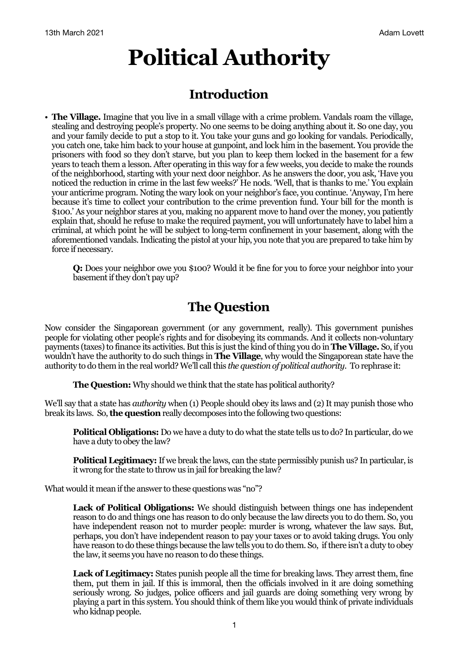# **Political Authority**

## **Introduction**

• **The Village.** Imagine that you live in a small village with a crime problem. Vandals roam the village, stealing and destroying people's property. No one seems to be doing anything about it. So one day, you and your family decide to put a stop to it. You take your guns and go looking for vandals. Periodically, you catch one, take him back to your house at gunpoint, and lock him in the basement. You provide the prisoners with food so they don't starve, but you plan to keep them locked in the basement for a few years to teach them a lesson. After operating in this way for a few weeks, you decide to make the rounds of the neighborhood, starting with your next door neighbor. As he answers the door, you ask, 'Have you noticed the reduction in crime in the last few weeks?' He nods. 'Well, that is thanks to me.' You explain your anticrime program. Noting the wary look on your neighbor's face, you continue. 'Anyway, I'm here because it's time to collect your contribution to the crime prevention fund. Your bill for the month is \$100.' As your neighbor stares at you, making no apparent move to hand over the money, you patiently explain that, should he refuse to make the required payment, you will unfortunately have to label him a criminal, at which point he will be subject to long-term confinement in your basement, along with the aforementioned vandals. Indicating the pistol at your hip, you note that you are prepared to take him by force if necessary.

**Q:** Does your neighbor owe you \$100? Would it be fine for you to force your neighbor into your basement if they don't pay up?

## **The Question**

Now consider the Singaporean government (or any government, really). This government punishes people for violating other people's rights and for disobeying its commands. And it collects non-voluntary payments (taxes) to finance its activities. But this is just the kind of thing you do in **The Village.** So, if you wouldn't have the authority to do such things in **The Village**, why would the Singaporean state have the authority to do them in the real world? We'll call this *the question of political authority*. To rephrase it:

**The Question:** Why should we think that the state has political authority?

We'll say that a state has *authority* when (1) People should obey its laws and (2) It may punish those who break its laws. So, **the question** really decomposes into the following two questions:

**Political Obligations:** Do we have a duty to do what the state tells us to do? In particular, do we have a duty to obey the law?

**Political Legitimacy:** If we break the laws, can the state permissibly punish us? In particular, is it wrong for the state to throw us in jail for breaking the law?

What would it mean if the answer to these questions was "no"?

**Lack of Political Obligations:** We should distinguish between things one has independent reason to do and things one has reason to do only because the law directs you to do them. So, you have independent reason not to murder people: murder is wrong, whatever the law says. But, perhaps, you don't have independent reason to pay your taxes or to avoid taking drugs. You only have reason to do these things because the law tells you to do them. So, if there isn't a duty to obey the law, it seems you have no reason to do these things.

**Lack of Legitimacy:** States punish people all the time for breaking laws. They arrest them, fine them, put them in jail. If this is immoral, then the officials involved in it are doing something seriously wrong. So judges, police officers and jail guards are doing something very wrong by playing a part in this system. You should think of them like you would think of private individuals who kidnap people.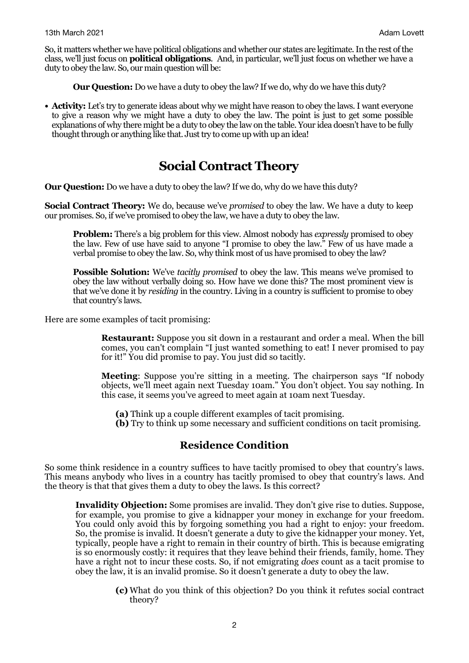So, it matters whether we have political obligations and whether our states are legitimate. In the rest of the class, we'll just focus on **political obligations**. And, in particular, we'll just focus on whether we have a duty to obey the law. So, our main question will be:

**Our Question:** Do we have a duty to obey the law? If we do, why do we have this duty?

• **Activity:** Let's try to generate ideas about why we might have reason to obey the laws. I want everyone to give a reason why we might have a duty to obey the law. The point is just to get some possible explanations of why there might be a duty to obey the law on the table. Your idea doesn't have to be fully thought through or anything like that. Just try to come up with up an idea!

## **Social Contract Theory**

**Our Question:** Do we have a duty to obey the law? If we do, why do we have this duty?

**Social Contract Theory:** We do, because we've *promised* to obey the law. We have a duty to keep our promises. So, if we've promised to obey the law, we have a duty to obey the law.

**Problem:** There's a big problem for this view. Almost nobody has *expressly* promised to obey the law. Few of use have said to anyone "I promise to obey the law." Few of us have made a verbal promise to obey the law. So, why think most of us have promised to obey the law?

**Possible Solution:** We've *tacitly promised* to obey the law. This means we've promised to obey the law without verbally doing so. How have we done this? The most prominent view is that we've done it by *residing* in the country. Living in a country is sufficient to promise to obey that country's laws.

Here are some examples of tacit promising:

**Restaurant:** Suppose you sit down in a restaurant and order a meal. When the bill comes, you can't complain "I just wanted something to eat! I never promised to pay for it!" You did promise to pay. You just did so tacitly.

**Meeting**: Suppose you're sitting in a meeting. The chairperson says "If nobody objects, we'll meet again next Tuesday 10am." You don't object. You say nothing. In this case, it seems you've agreed to meet again at 10am next Tuesday.

**(a)** Think up a couple different examples of tacit promising.

**(b)** Try to think up some necessary and sufficient conditions on tacit promising.

#### **Residence Condition**

So some think residence in a country suffices to have tacitly promised to obey that country's laws. This means anybody who lives in a country has tacitly promised to obey that country's laws. And the theory is that that gives them a duty to obey the laws. Is this correct?

**Invalidity Objection:** Some promises are invalid. They don't give rise to duties. Suppose, for example, you promise to give a kidnapper your money in exchange for your freedom. You could only avoid this by forgoing something you had a right to enjoy: your freedom. So, the promise is invalid. It doesn't generate a duty to give the kidnapper your money. Yet, typically, people have a right to remain in their country of birth. This is because emigrating is so enormously costly: it requires that they leave behind their friends, family, home. They have a right not to incur these costs. So, if not emigrating *does* count as a tacit promise to obey the law, it is an invalid promise. So it doesn't generate a duty to obey the law.

> **(c)** What do you think of this objection? Do you think it refutes social contract theory?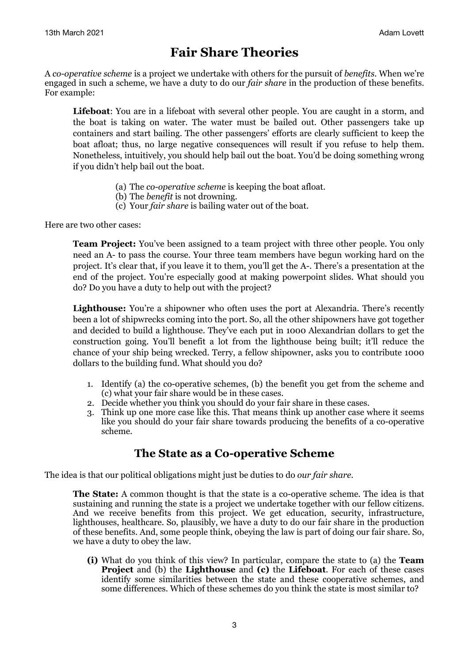## **Fair Share Theories**

A *co-operative scheme* is a project we undertake with others for the pursuit of *benefits*. When we're engaged in such a scheme, we have a duty to do our *fair share* in the production of these benefits. For example:

**Lifeboat**: You are in a lifeboat with several other people. You are caught in a storm, and the boat is taking on water. The water must be bailed out. Other passengers take up containers and start bailing. The other passengers' efforts are clearly sufficient to keep the boat afloat; thus, no large negative consequences will result if you refuse to help them. Nonetheless, intuitively, you should help bail out the boat. You'd be doing something wrong if you didn't help bail out the boat.

- (a) The *co-operative scheme* is keeping the boat afloat.
- (b) The *benefit* is not drowning.
- (c) Your *fair share* is bailing water out of the boat.

Here are two other cases:

**Team Project:** You've been assigned to a team project with three other people. You only need an A- to pass the course. Your three team members have begun working hard on the project. It's clear that, if you leave it to them, you'll get the A-. There's a presentation at the end of the project. You're especially good at making powerpoint slides. What should you do? Do you have a duty to help out with the project?

Lighthouse: You're a shipowner who often uses the port at Alexandria. There's recently been a lot of shipwrecks coming into the port. So, all the other shipowners have got together and decided to build a lighthouse. They've each put in 1000 Alexandrian dollars to get the construction going. You'll benefit a lot from the lighthouse being built; it'll reduce the chance of your ship being wrecked. Terry, a fellow shipowner, asks you to contribute 1000 dollars to the building fund. What should you do?

- 1. Identify (a) the co-operative schemes, (b) the benefit you get from the scheme and (c) what your fair share would be in these cases.
- 2. Decide whether you think you should do your fair share in these cases.
- 3. Think up one more case like this. That means think up another case where it seems like you should do your fair share towards producing the benefits of a co-operative scheme.

### **The State as a Co-operative Scheme**

The idea is that our political obligations might just be duties to do *our fair share.*

**The State:** A common thought is that the state is a co-operative scheme. The idea is that sustaining and running the state is a project we undertake together with our fellow citizens. And we receive benefits from this project. We get education, security, infrastructure, lighthouses, healthcare. So, plausibly, we have a duty to do our fair share in the production of these benefits. And, some people think, obeying the law is part of doing our fair share. So, we have a duty to obey the law.

**(i)** What do you think of this view? In particular, compare the state to (a) the **Team Project** and (b) the **Lighthouse** and **(c)** the **Lifeboat**. For each of these cases identify some similarities between the state and these cooperative schemes, and some differences. Which of these schemes do you think the state is most similar to?